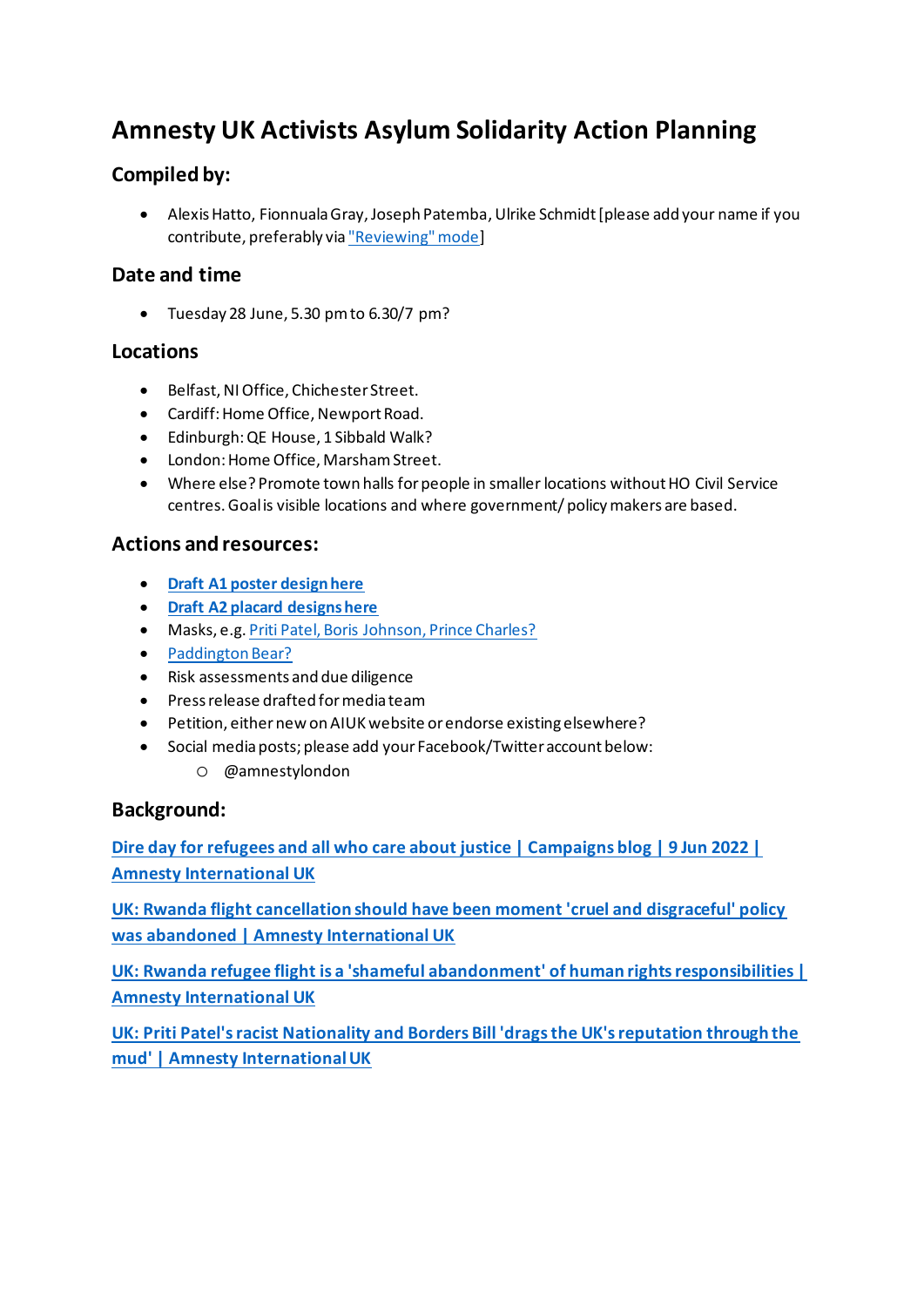# **Amnesty UK Activists Asylum Solidarity Action Planning**

## **Compiled by:**

• Alexis Hatto, Fionnuala Gray, Joseph Patemba, Ulrike Schmidt [please add your name if you contribute, preferably via "Reviewing" mode]

#### **Date and time**

• Tuesday 28 June, 5.30 pm to 6.30/7 pm?

#### **Locations**

- Belfast, NI Office, Chichester Street.
- Cardiff: Home Office, Newport Road.
- Edinburgh: QE House, 1 Sibbald Walk?
- London: Home Office, Marsham Street.
- Where else? Promote town halls for people in smaller locations without HO Civil Service centres. Goal is visible locations and where government/ policy makers are based.

### **Actions and resources:**

- **Draft A1 poster design here**
- **Draft A2 placard designs here**
- Masks, e.g. Priti Patel, Boris Johnson, Prince Charles?
- Paddington Bear?
- Risk assessments and due diligence
- Press release drafted for media team
- Petition, either new on AIUK website or endorse existing elsewhere?
- Social media posts; please add your Facebook/Twitter account below:
	- o @amnestylondon

#### **Background:**

**Dire day for refugees and all who care about justice | Campaigns blog | 9 Jun 2022 | Amnesty International UK**

**UK: Rwanda flight cancellation should have been moment 'cruel and disgraceful' policy was abandoned | Amnesty International UK**

**UK: Rwanda refugee flight is a 'shameful abandonment' of human rights responsibilities | Amnesty International UK**

**UK: Priti Patel's racist Nationality and Borders Bill 'drags the UK's reputation through the mud' | Amnesty International UK**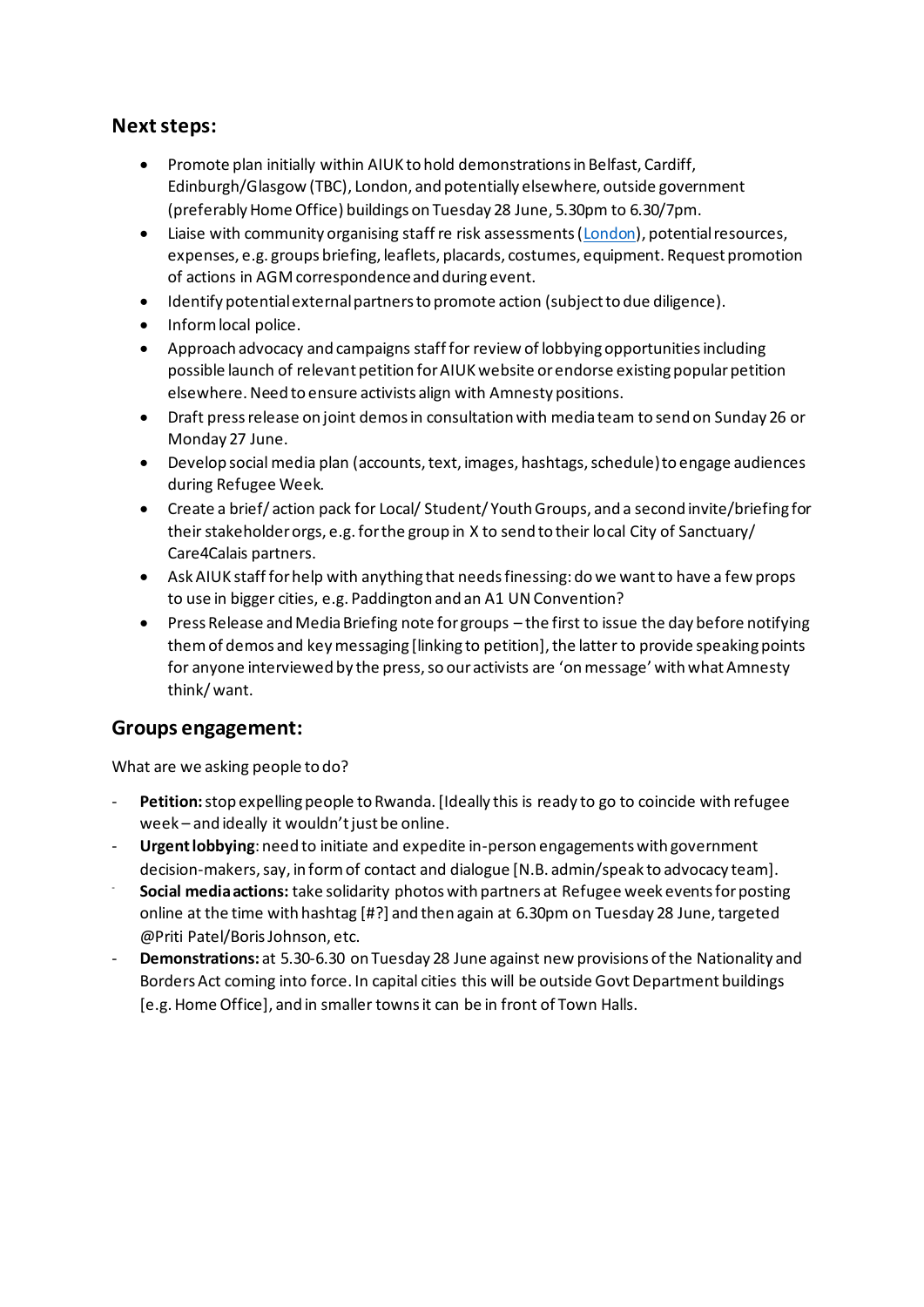#### **Next steps:**

- Promote plan initially within AIUK to hold demonstrations in Belfast, Cardiff, Edinburgh/Glasgow (TBC), London, and potentially elsewhere, outside government (preferably Home Office) buildings on Tuesday 28 June, 5.30pm to 6.30/7pm.
- Liaise with community organising staff re risk assessments (London), potential resources, expenses, e.g. groups briefing, leaflets, placards, costumes, equipment. Request promotion of actions in AGM correspondence and during event.
- Identify potential external partners to promote action (subject to due diligence).
- Inform local police.
- Approach advocacy and campaigns staff for review of lobbying opportunities including possible launch of relevant petition for AIUK website or endorse existing popular petition elsewhere. Need to ensure activists align with Amnesty positions.
- Draft press release on joint demos in consultation with media team to send on Sunday 26 or Monday 27 June.
- Develop social media plan (accounts, text, images, hashtags, schedule) to engage audiences during Refugee Week.
- Create a brief/ action pack for Local/ Student/ Youth Groups, and a second invite/briefing for their stakeholder orgs, e.g. for the group in X to send to their local City of Sanctuary/ Care4Calais partners.
- Ask AIUK staff for help with anything that needs finessing: do we want to have a few props to use in bigger cities, e.g. Paddington and an A1 UN Convention?
- Press Release and Media Briefing note for groups the first to issue the day before notifying them of demos and key messaging [linking to petition], the latter to provide speaking points for anyone interviewed by the press, so our activists are 'on message' with what Amnesty think/ want.

#### **Groups engagement:**

What are we asking people to do?

- **Petition:** stop expelling people to Rwanda. [Ideally this is ready to go to coincide with refugee week – and ideally it wouldn't just be online.
- **Urgent lobbying**: need to initiate and expedite in-person engagements with government decision-makers, say, in form of contact and dialogue [N.B. admin/speak to advocacy team].
- **Social media actions:** take solidarity photos with partners at Refugee week events for posting online at the time with hashtag [#?] and then again at 6.30pm on Tuesday 28 June, targeted @Priti Patel/Boris Johnson, etc.
- **Demonstrations:** at 5.30-6.30 on Tuesday 28 June against new provisions of the Nationality and Borders Act coming into force. In capital cities this will be outside Govt Department buildings [e.g.Home Office], and in smaller towns it can be in front of Town Halls.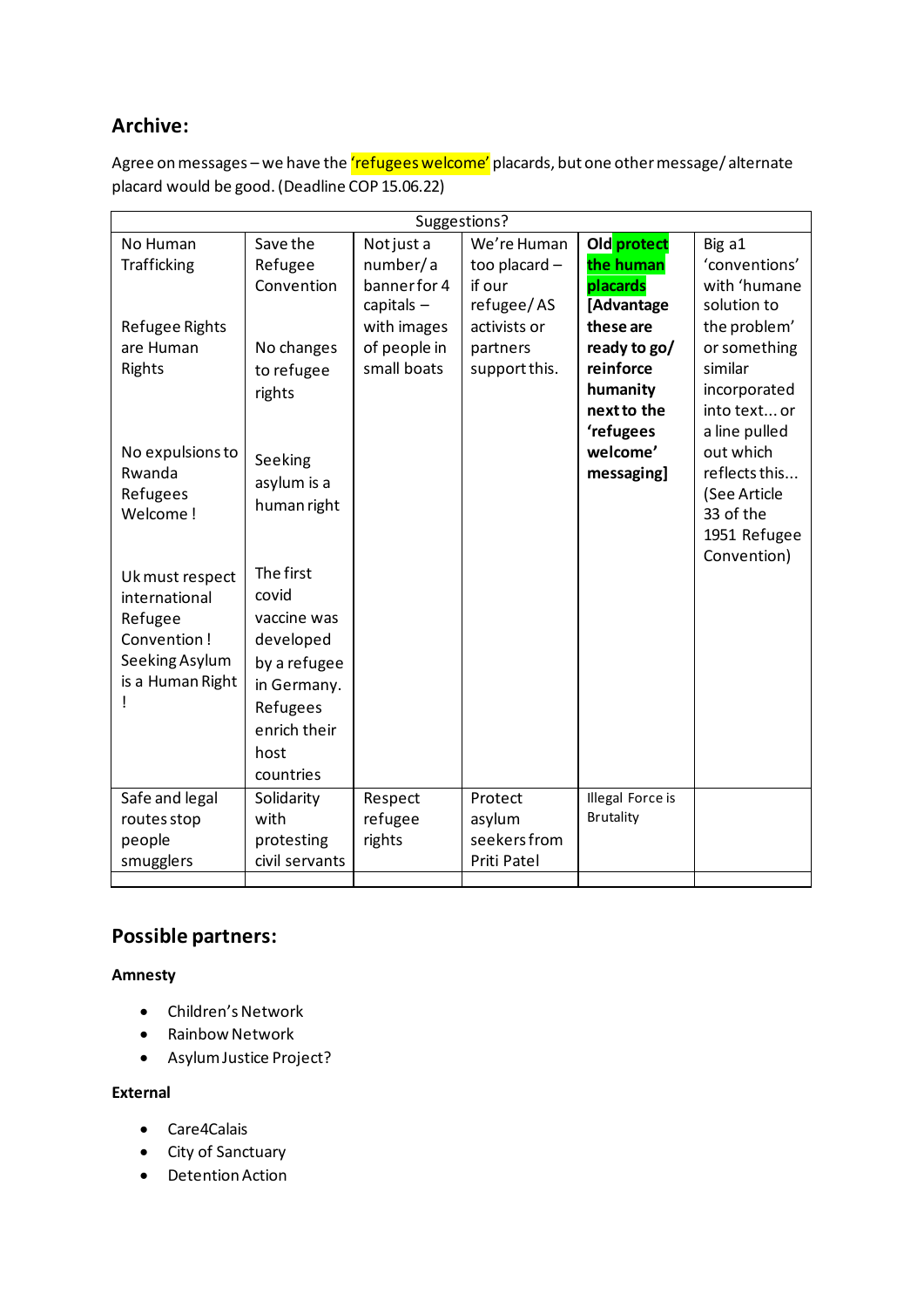# **Archive:**

Agree on messages – we have the 'refugees welcome' placards, but one other message/alternate placard would be good. (Deadline COP 15.06.22)

| Suggestions?       |                |              |               |                  |               |
|--------------------|----------------|--------------|---------------|------------------|---------------|
| No Human           | Save the       | Not just a   | We're Human   | Old protect      | Big a1        |
| <b>Trafficking</b> | Refugee        | number/a     | too placard - | the human        | 'conventions' |
|                    | Convention     | banner for 4 | if our        | placards         | with 'humane  |
|                    |                | capitals $-$ | refugee/AS    | [Advantage       | solution to   |
| Refugee Rights     |                | with images  | activists or  | these are        | the problem'  |
| are Human          | No changes     | of people in | partners      | ready to go/     | or something  |
| Rights             | to refugee     | small boats  | support this. | reinforce        | similar       |
|                    | rights         |              |               | humanity         | incorporated  |
|                    |                |              |               | next to the      | into text or  |
|                    |                |              |               | 'refugees        | a line pulled |
| No expulsions to   | Seeking        |              |               | welcome'         | out which     |
| Rwanda             | asylum is a    |              |               | messaging]       | reflects this |
| Refugees           | human right    |              |               |                  | (See Article  |
| Welcome!           |                |              |               |                  | 33 of the     |
|                    |                |              |               |                  | 1951 Refugee  |
|                    | The first      |              |               |                  | Convention)   |
| Uk must respect    |                |              |               |                  |               |
| international      | covid          |              |               |                  |               |
| Refugee            | vaccine was    |              |               |                  |               |
| Convention!        | developed      |              |               |                  |               |
| Seeking Asylum     | by a refugee   |              |               |                  |               |
| is a Human Right   | in Germany.    |              |               |                  |               |
|                    | Refugees       |              |               |                  |               |
|                    | enrich their   |              |               |                  |               |
|                    | host           |              |               |                  |               |
|                    | countries      |              |               |                  |               |
| Safe and legal     | Solidarity     | Respect      | Protect       | Illegal Force is |               |
| routes stop        | with           | refugee      | asylum        | <b>Brutality</b> |               |
| people             | protesting     | rights       | seekers from  |                  |               |
| smugglers          | civil servants |              | Priti Patel   |                  |               |
|                    |                |              |               |                  |               |

# **Possible partners:**

#### **Amnesty**

- Children's Network
- Rainbow Network
- Asylum Justice Project?

#### **External**

- Care4Calais
- City of Sanctuary
- Detention Action